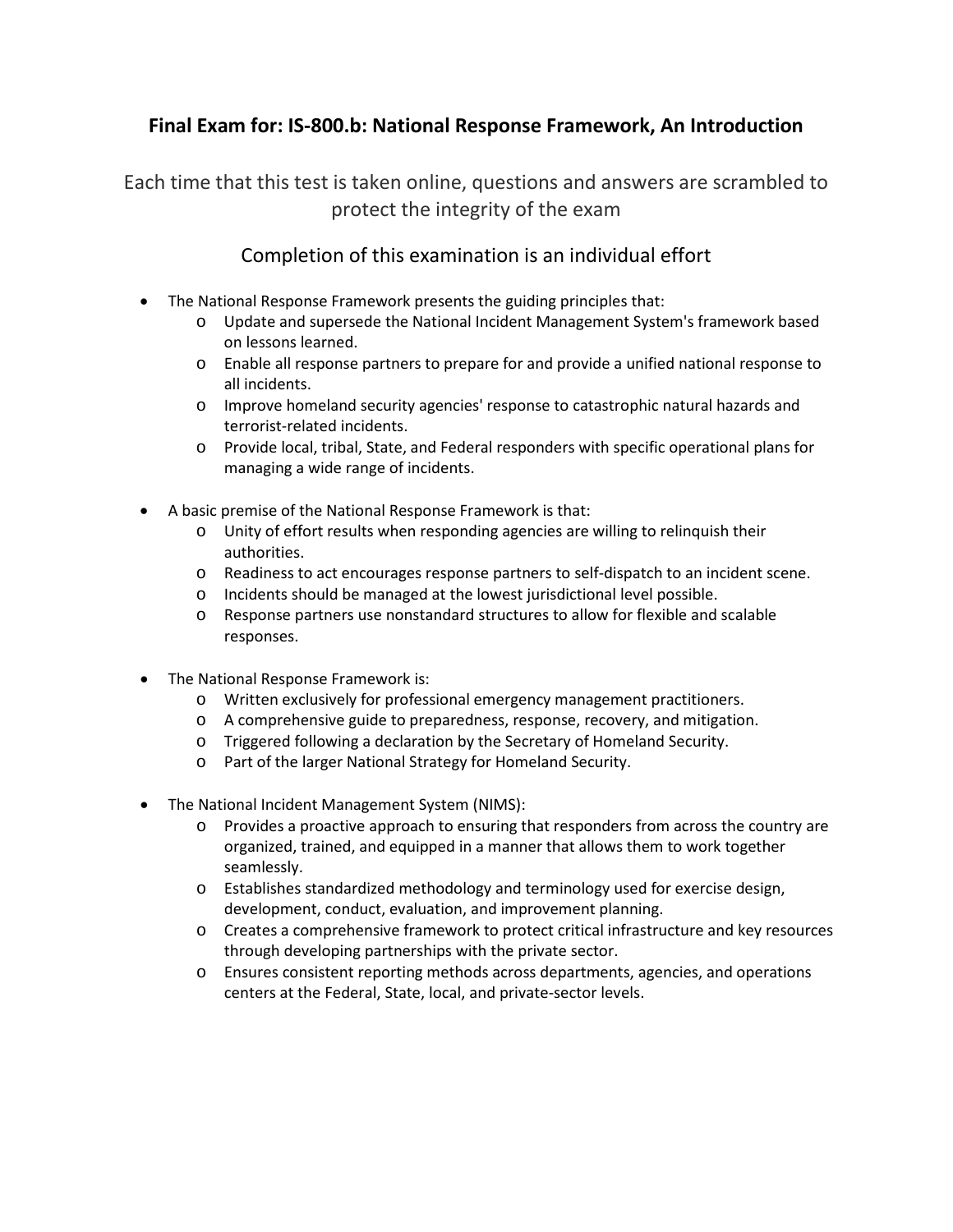## **Final Exam for: IS-800.b: National Response Framework, An Introduction**

Each time that this test is taken online, questions and answers are scrambled to protect the integrity of the exam

## Completion of this examination is an individual effort

- The National Response Framework presents the guiding principles that:
	- o Update and supersede the National Incident Management System's framework based on lessons learned.
	- o Enable all response partners to prepare for and provide a unified national response to all incidents.
	- o Improve homeland security agencies' response to catastrophic natural hazards and terrorist-related incidents.
	- o Provide local, tribal, State, and Federal responders with specific operational plans for managing a wide range of incidents.
- A basic premise of the National Response Framework is that:
	- o Unity of effort results when responding agencies are willing to relinquish their authorities.
	- o Readiness to act encourages response partners to self-dispatch to an incident scene.
	- o Incidents should be managed at the lowest jurisdictional level possible.
	- o Response partners use nonstandard structures to allow for flexible and scalable responses.
- The National Response Framework is:
	- o Written exclusively for professional emergency management practitioners.
	- o A comprehensive guide to preparedness, response, recovery, and mitigation.
	- o Triggered following a declaration by the Secretary of Homeland Security.
	- o Part of the larger National Strategy for Homeland Security.
- The National Incident Management System (NIMS):
	- o Provides a proactive approach to ensuring that responders from across the country are organized, trained, and equipped in a manner that allows them to work together seamlessly.
	- o Establishes standardized methodology and terminology used for exercise design, development, conduct, evaluation, and improvement planning.
	- o Creates a comprehensive framework to protect critical infrastructure and key resources through developing partnerships with the private sector.
	- o Ensures consistent reporting methods across departments, agencies, and operations centers at the Federal, State, local, and private-sector levels.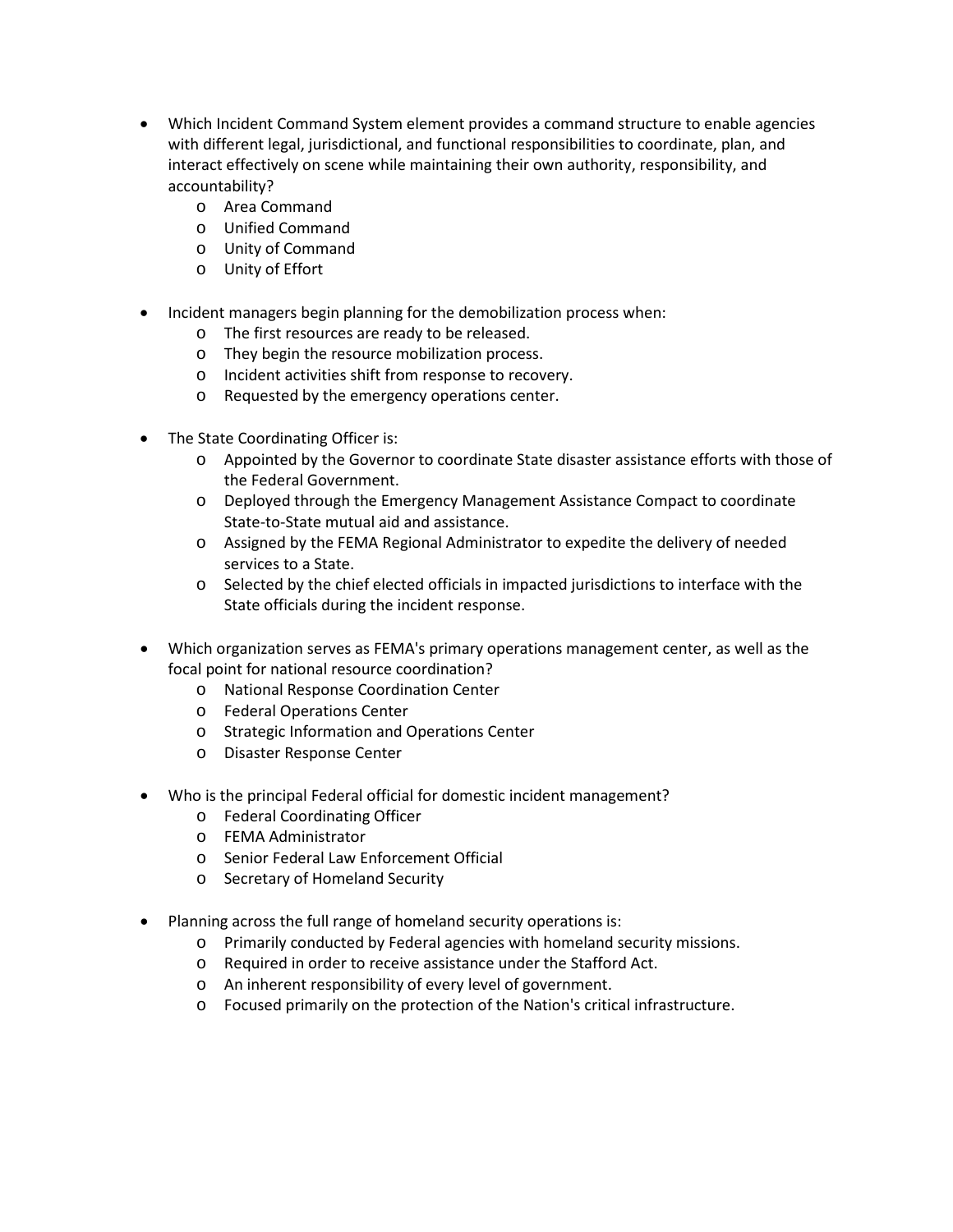- Which Incident Command System element provides a command structure to enable agencies with different legal, jurisdictional, and functional responsibilities to coordinate, plan, and interact effectively on scene while maintaining their own authority, responsibility, and accountability?
	- o Area Command
	- o Unified Command
	- o Unity of Command
	- o Unity of Effort
- Incident managers begin planning for the demobilization process when:
	- o The first resources are ready to be released.
	- o They begin the resource mobilization process.
	- o Incident activities shift from response to recovery.
	- o Requested by the emergency operations center.
- The State Coordinating Officer is:
	- o Appointed by the Governor to coordinate State disaster assistance efforts with those of the Federal Government.
	- o Deployed through the Emergency Management Assistance Compact to coordinate State-to-State mutual aid and assistance.
	- o Assigned by the FEMA Regional Administrator to expedite the delivery of needed services to a State.
	- o Selected by the chief elected officials in impacted jurisdictions to interface with the State officials during the incident response.
- Which organization serves as FEMA's primary operations management center, as well as the focal point for national resource coordination?
	- o National Response Coordination Center
	- o Federal Operations Center
	- o Strategic Information and Operations Center
	- o Disaster Response Center
- Who is the principal Federal official for domestic incident management?
	- o Federal Coordinating Officer
	- o FEMA Administrator
	- o Senior Federal Law Enforcement Official
	- o Secretary of Homeland Security
- Planning across the full range of homeland security operations is:
	- o Primarily conducted by Federal agencies with homeland security missions.
	- o Required in order to receive assistance under the Stafford Act.
	- o An inherent responsibility of every level of government.
	- o Focused primarily on the protection of the Nation's critical infrastructure.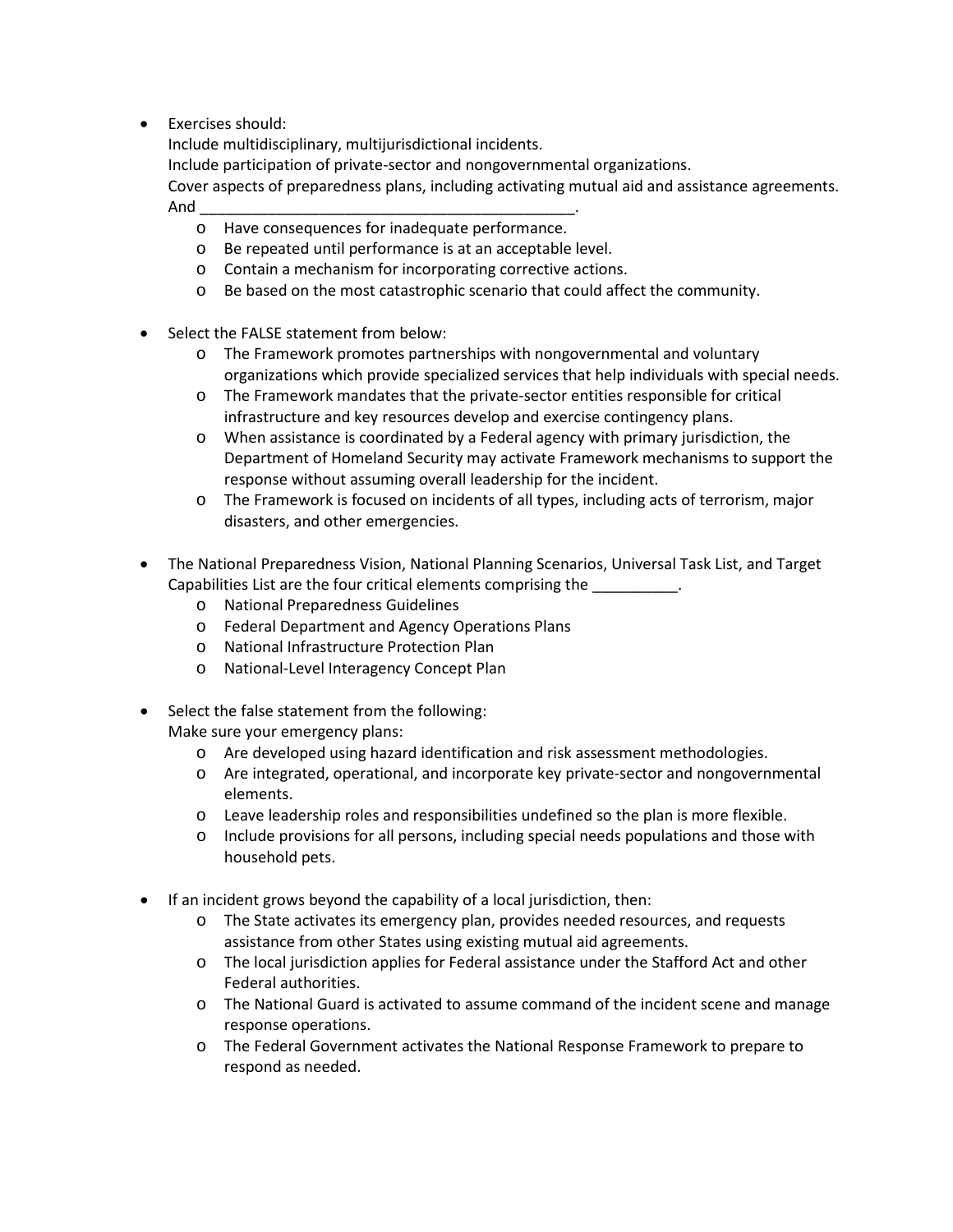• Exercises should:

Include multidisciplinary, multijurisdictional incidents.

Include participation of private-sector and nongovernmental organizations.

Cover aspects of preparedness plans, including activating mutual aid and assistance agreements. And \_\_\_\_\_\_\_\_\_\_\_\_\_\_\_\_\_\_\_\_\_\_\_\_\_\_\_\_\_\_\_\_\_\_\_\_\_\_\_\_\_\_\_\_.

- o Have consequences for inadequate performance.
- o Be repeated until performance is at an acceptable level.
- o Contain a mechanism for incorporating corrective actions.
- o Be based on the most catastrophic scenario that could affect the community.
- Select the FALSE statement from below:
	- o The Framework promotes partnerships with nongovernmental and voluntary organizations which provide specialized services that help individuals with special needs.
	- o The Framework mandates that the private-sector entities responsible for critical infrastructure and key resources develop and exercise contingency plans.
	- o When assistance is coordinated by a Federal agency with primary jurisdiction, the Department of Homeland Security may activate Framework mechanisms to support the response without assuming overall leadership for the incident.
	- o The Framework is focused on incidents of all types, including acts of terrorism, major disasters, and other emergencies.
- The National Preparedness Vision, National Planning Scenarios, Universal Task List, and Target Capabilities List are the four critical elements comprising the **Exercise 2**.
	- o National Preparedness Guidelines
	- o Federal Department and Agency Operations Plans
	- o National Infrastructure Protection Plan
	- o National-Level Interagency Concept Plan
- Select the false statement from the following: Make sure your emergency plans:
	- o Are developed using hazard identification and risk assessment methodologies.
	- o Are integrated, operational, and incorporate key private-sector and nongovernmental elements.
	- o Leave leadership roles and responsibilities undefined so the plan is more flexible.
	- o Include provisions for all persons, including special needs populations and those with household pets.
- If an incident grows beyond the capability of a local jurisdiction, then:
	- o The State activates its emergency plan, provides needed resources, and requests assistance from other States using existing mutual aid agreements.
	- o The local jurisdiction applies for Federal assistance under the Stafford Act and other Federal authorities.
	- o The National Guard is activated to assume command of the incident scene and manage response operations.
	- o The Federal Government activates the National Response Framework to prepare to respond as needed.